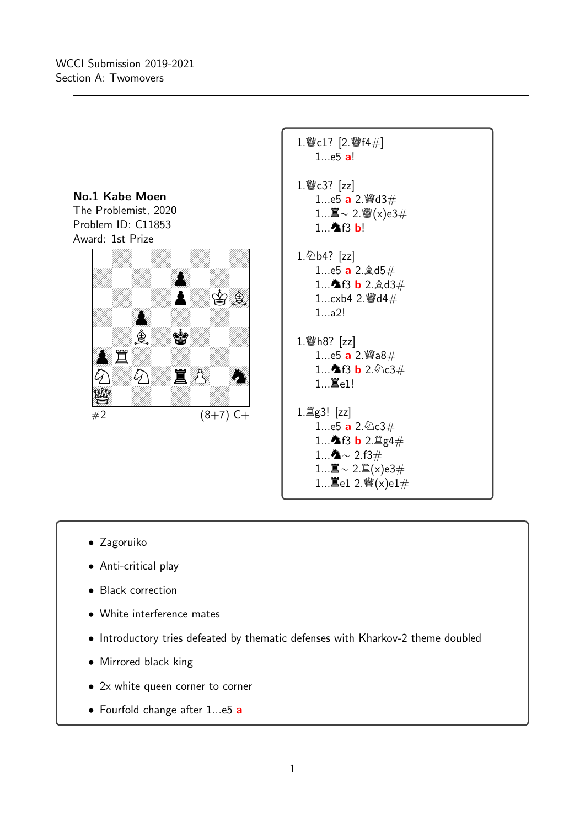

- Zagoruiko
- Anti-critical play
- Black correction
- White interference mates
- Introductory tries defeated by thematic defenses with Kharkov-2 theme doubled
- Mirrored black king
- 2x white queen corner to corner
- Fourfold change after 1...e5 a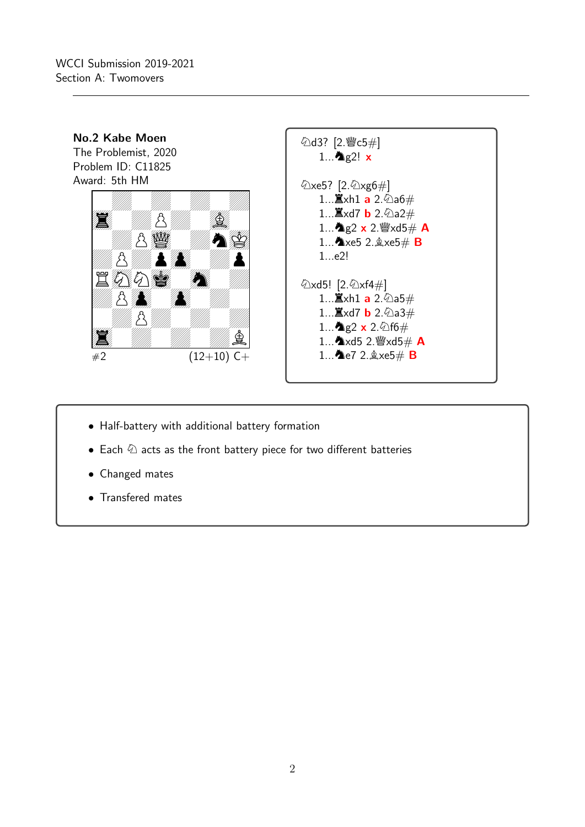

- Half-battery with additional battery formation
- Each  $\Phi$  acts as the front battery piece for two different batteries
- Changed mates
- Transfered mates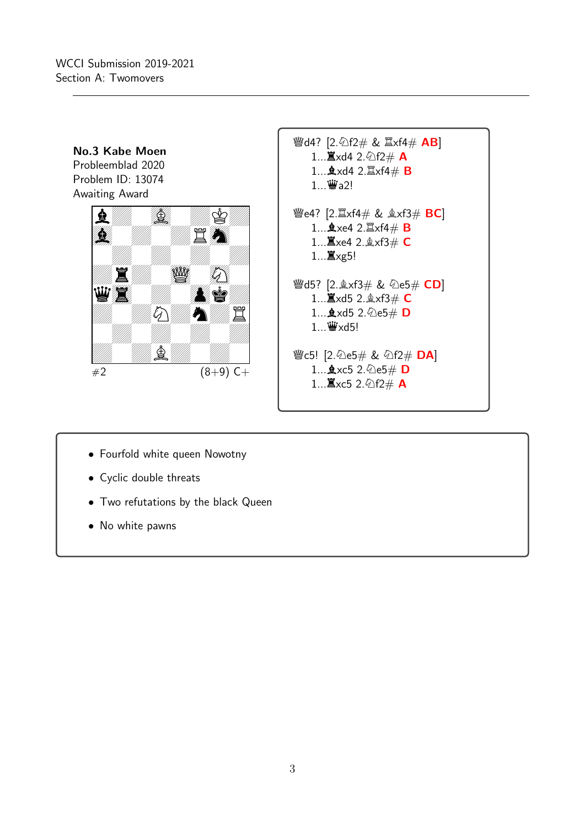

- Fourfold white queen Nowotny
- Cyclic double threats
- Two refutations by the black Queen
- No white pawns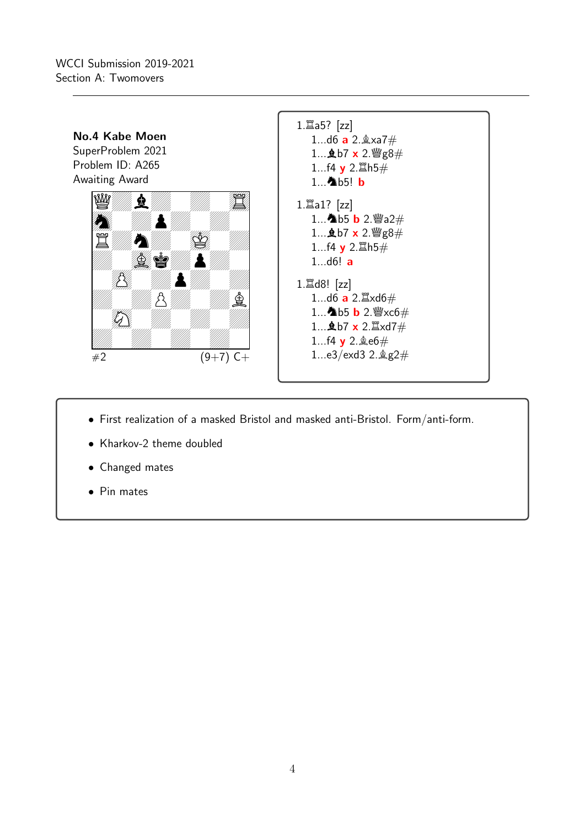WCCI Submission 2019-2021 Section A: Twomovers



- First realization of a masked Bristol and masked anti-Bristol. Form/anti-form.
- Kharkov-2 theme doubled
- Changed mates
- Pin mates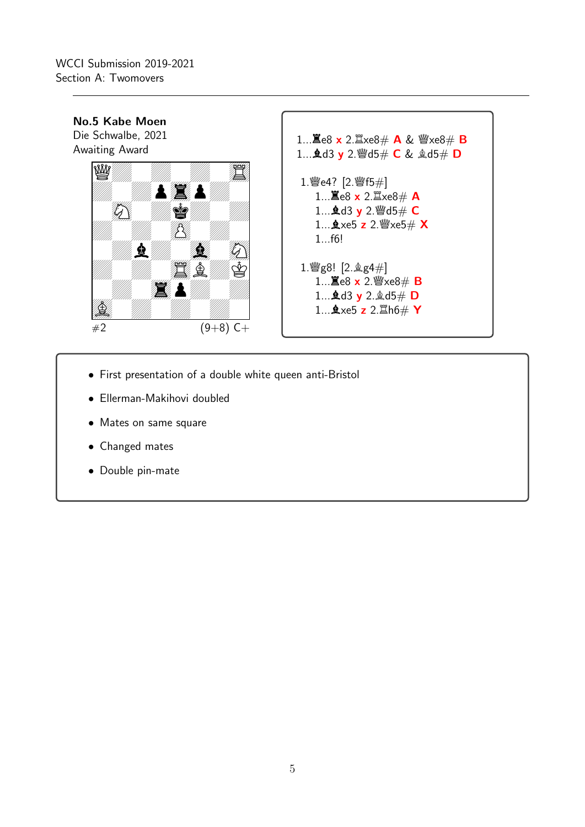

- First presentation of a double white queen anti-Bristol
- Ellerman-Makihovi doubled
- Mates on same square
- Changed mates
- Double pin-mate